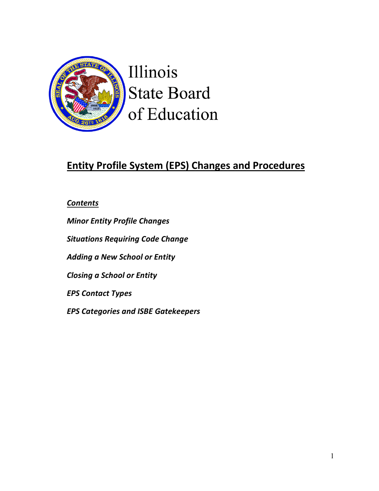

Illinois **State Board** of Education

# **Entity Profile System (EPS) Changes and Procedures**

*Contents*

*Minor Entity Profile Changes Situations Requiring Code Change Adding a New School or Entity Closing a School or Entity EPS Contact Types EPS Categories and ISBE Gatekeepers*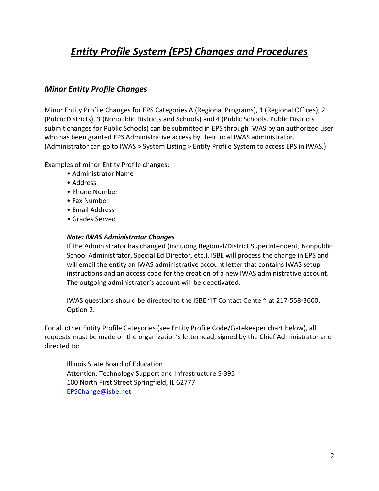# *Entity Profile System (EPS) Changes and Procedures*

## *Minor Entity Profile Changes*

Minor Entity Profile Changes for EPS Categories A (Regional Programs), 1 (Regional Offices), 2 (Public Districts), 3 (Nonpublic Districts and Schools) and 4 (Public Schools. Public Districts submit changes for Public Schools) can be submitted in EPS through IWAS by an authorized user who has been granted EPS Administrative access by their local IWAS administrator. (Administrator can go to IWAS > System Listing > Entity Profile System to access EPS in IWAS.)

Examples of minor Entity Profile changes:

- Administrator Name
- Address
- Phone Number
- Fax Number
- Email Address
- Grades Served

#### *Note: IWAS Administrator Changes*

If the Administrator has changed (including Regional/District Superintendent, Nonpublic School Administrator, Special Ed Director, etc.), ISBE will process the change in EPS and will email the entity an IWAS administrative account letter that contains IWAS setup instructions and an access code for the creation of a new IWAS administrative account. The outgoing administrator's account will be deactivated.

IWAS questions should be directed to the ISBE "IT Contact Center" at 217-558-3600, Option 2.

For all other Entity Profile Categories (see Entity Profile Code/Gatekeeper chart below), all requests must be made on the organization's letterhead, signed by the Chief Administrator and directed to:

Illinois State Board of Education Attention: Technology Support and Infrastructure S-395 100 North First Street Springfield, IL 62777 [EPSChange@isbe.net](mailto:EPSChange@isbe.net)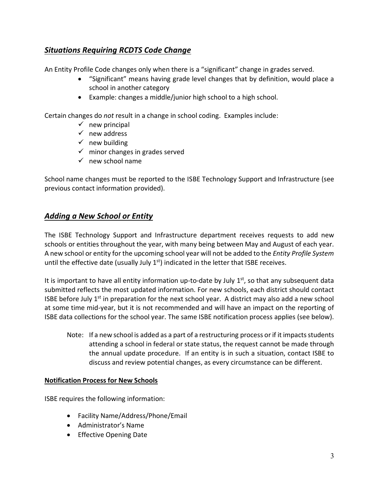# *Situations Requiring RCDTS Code Change*

An Entity Profile Code changes only when there is a "significant" change in grades served.

- "Significant" means having grade level changes that by definition, would place a school in another category
- Example: changes a middle/junior high school to a high school.

Certain changes do *not* result in a change in school coding. Examples include:

- $\checkmark$  new principal
- $\checkmark$  new address
- $\checkmark$  new building
- $\checkmark$  minor changes in grades served
- $\checkmark$  new school name

School name changes must be reported to the ISBE Technology Support and Infrastructure (see previous contact information provided).

# *Adding a New School or Entity*

The ISBE Technology Support and Infrastructure department receives requests to add new schools or entities throughout the year, with many being between May and August of each year. A new school or entity for the upcoming school year will not be added to the *Entity Profile System* until the effective date (usually July  $1<sup>st</sup>$ ) indicated in the letter that ISBE receives.

It is important to have all entity information up-to-date by July  $1<sup>st</sup>$ , so that any subsequent data submitted reflects the most updated information. For new schools, each district should contact ISBE before July  $1<sup>st</sup>$  in preparation for the next school year. A district may also add a new school at some time mid-year, but it is not recommended and will have an impact on the reporting of ISBE data collections for the school year. The same ISBE notification process applies (see below).

Note: If a new school is added as a part of a restructuring process or if it impacts students attending a school in federal or state status, the request cannot be made through the annual update procedure. If an entity is in such a situation, contact ISBE to discuss and review potential changes, as every circumstance can be different.

### **Notification Process for New Schools**

ISBE requires the following information:

- Facility Name/Address/Phone/Email
- Administrator's Name
- Effective Opening Date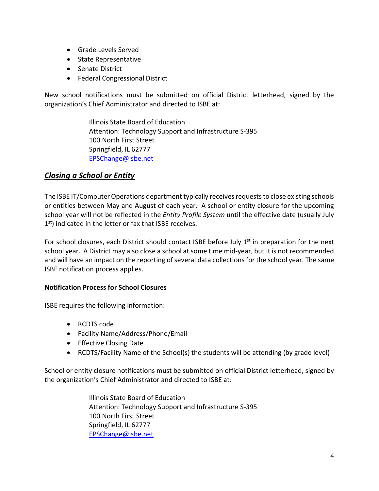- Grade Levels Served
- State Representative
- Senate District
- Federal Congressional District

New school notifications must be submitted on official District letterhead, signed by the organization's Chief Administrator and directed to ISBE at:

> Illinois State Board of Education Attention: Technology Support and Infrastructure S-395 100 North First Street Springfield, IL 62777 [EPSChange@isbe.net](mailto:EPSChange@isbe.net)

# *Closing a School or Entity*

The ISBE IT/Computer Operations department typically receives requests to close existing schools or entities between May and August of each year. A school or entity closure for the upcoming school year will not be reflected in the *Entity Profile System* until the effective date (usually July  $1<sup>st</sup>$ ) indicated in the letter or fax that ISBE receives.

For school closures, each District should contact ISBE before July  $1<sup>st</sup>$  in preparation for the next school year. A District may also close a school at some time mid-year, but it is not recommended and will have an impact on the reporting of several data collections for the school year. The same ISBE notification process applies.

### **Notification Process for School Closures**

ISBE requires the following information:

- RCDTS code
- Facility Name/Address/Phone/Email
- Effective Closing Date
- RCDTS/Facility Name of the School(s) the students will be attending (by grade level)

School or entity closure notifications must be submitted on official District letterhead, signed by the organization's Chief Administrator and directed to ISBE at:

> Illinois State Board of Education Attention: Technology Support and Infrastructure S-395 100 North First Street Springfield, IL 62777 [EPSChange@isbe.net](mailto:EPSChange@isbe.net)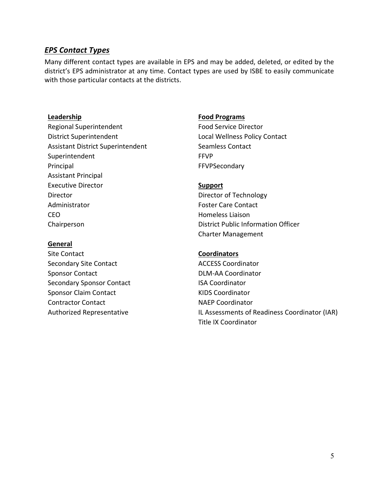## *EPS Contact Types*

Many different contact types are available in EPS and may be added, deleted, or edited by the district's EPS administrator at any time. Contact types are used by ISBE to easily communicate with those particular contacts at the districts.

Regional Superintendent Food Service Director District Superintendent Local Wellness Policy Contact Assistant District Superintendent Seamless Contact Superintendent FFVP Principal **FFVPSecondary** Assistant Principal Executive Director **Support** Director **Director** Director of Technology Administrator **Foster Care Contact** CEO Homeless Liaison

### **General**

Site Contact **Coordinators** Secondary Site Contact **ACCESS** Coordinator Sponsor Contact **DLM-AA Coordinator** Secondary Sponsor Contact **ISA Coordinator** Sponsor Claim Contact **KIDS** Coordinator Contractor Contact **NAEP** Coordinator

#### **Leadership Food Programs**

Chairperson District Public Information Officer Charter Management

Authorized Representative IL Assessments of Readiness Coordinator (IAR) Title IX Coordinator